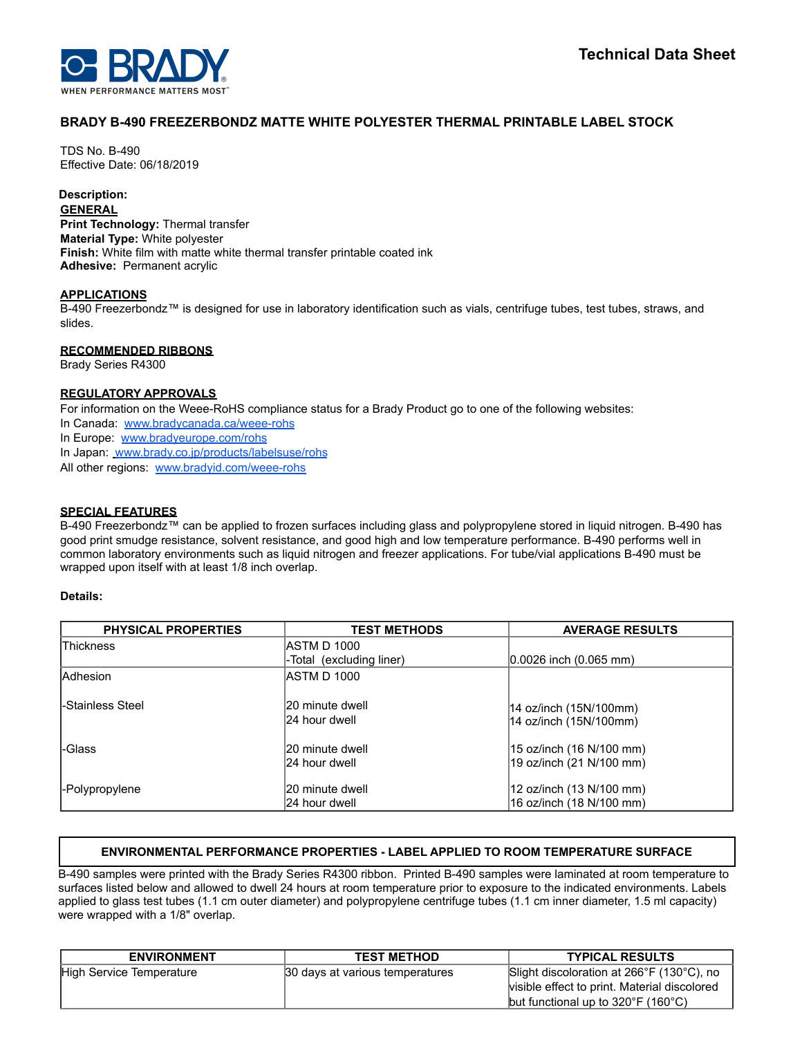# **BRADY B-490 FREEZERBONDZ MATTE WHITE POLYESTER THERMAL PRINTABLE LABEL STOCK**

TDS No. B-490 Effective Date: 06/18/2019

# **Description:**

### **GENERAL**

**Print Technology:** Thermal transfer **Material Type:** White polyester **Finish:** White film with matte white thermal transfer printable coated ink **Adhesive:** Permanent acrylic

#### **APPLICATIONS**

B-490 Freezerbondz™ is designed for use in laboratory identification such as vials, centrifuge tubes, test tubes, straws, and slides.

## **RECOMMENDED RIBBONS**

Brady Series R4300

## **REGULATORY APPROVALS**

For information on the Weee-RoHS compliance status for a Brady Product go to one of the following websites: In Canada: [www.bradycanada.ca/weee-rohs](http://www.bradycanada.ca/weee-rohs) In Europe: [www.bradyeurope.com/rohs](http://www.bradyeurope.com/rohs) In Japan: www.[brady.co.jp/products/labelsuse/rohs](https://brady.co.jp/products/labelsuse/rohs) All other regions: [www.bradyid.com/weee-rohs](http://www.bradyid.com/weee-rohs)

## **SPECIAL FEATURES**

B-490 Freezerbondz™ can be applied to frozen surfaces including glass and polypropylene stored in liquid nitrogen. B-490 has good print smudge resistance, solvent resistance, and good high and low temperature performance. B-490 performs well in common laboratory environments such as liquid nitrogen and freezer applications. For tube/vial applications B-490 must be wrapped upon itself with at least 1/8 inch overlap.

#### **Details:**

| <b>PHYSICAL PROPERTIES</b> | <b>TEST METHODS</b>                | <b>AVERAGE RESULTS</b>                                |
|----------------------------|------------------------------------|-------------------------------------------------------|
| <b>Thickness</b>           | IASTM D 1000                       |                                                       |
|                            | -Total (excluding liner)           | $ 0.0026 $ inch $(0.065 $ mm)                         |
| <b>Adhesion</b>            | IASTM D 1000                       |                                                       |
| l-Stainless Steel          | 120 minute dwell<br>24 hour dwell  | 14 oz/inch (15N/100mm)<br>14 oz/inch (15N/100mm)      |
| -Glass                     | 120 minute dwell<br>124 hour dwell | 15 oz/inch (16 N/100 mm)<br> 19 oz/inch (21 N/100 mm) |
| -Polypropylene             | 20 minute dwell<br>l24 hour dwell  | 12 oz/inch (13 N/100 mm)<br>16 oz/inch (18 N/100 mm)  |

# **ENVIRONMENTAL PERFORMANCE PROPERTIES - LABEL APPLIED TO ROOM TEMPERATURE SURFACE**

B-490 samples were printed with the Brady Series R4300 ribbon. Printed B-490 samples were laminated at room temperature to surfaces listed below and allowed to dwell 24 hours at room temperature prior to exposure to the indicated environments. Labels applied to glass test tubes (1.1 cm outer diameter) and polypropylene centrifuge tubes (1.1 cm inner diameter, 1.5 ml capacity) were wrapped with a 1/8" overlap.

| <b>ENVIRONMENT</b>       | <b>TEST METHOD</b>              | <b>TYPICAL RESULTS</b>                                  |
|--------------------------|---------------------------------|---------------------------------------------------------|
| High Service Temperature | 30 days at various temperatures | Slight discoloration at 266°F (130°C), no               |
|                          |                                 | visible effect to print. Material discolored            |
|                          |                                 | but functional up to $320^{\circ}$ F (160 $^{\circ}$ C) |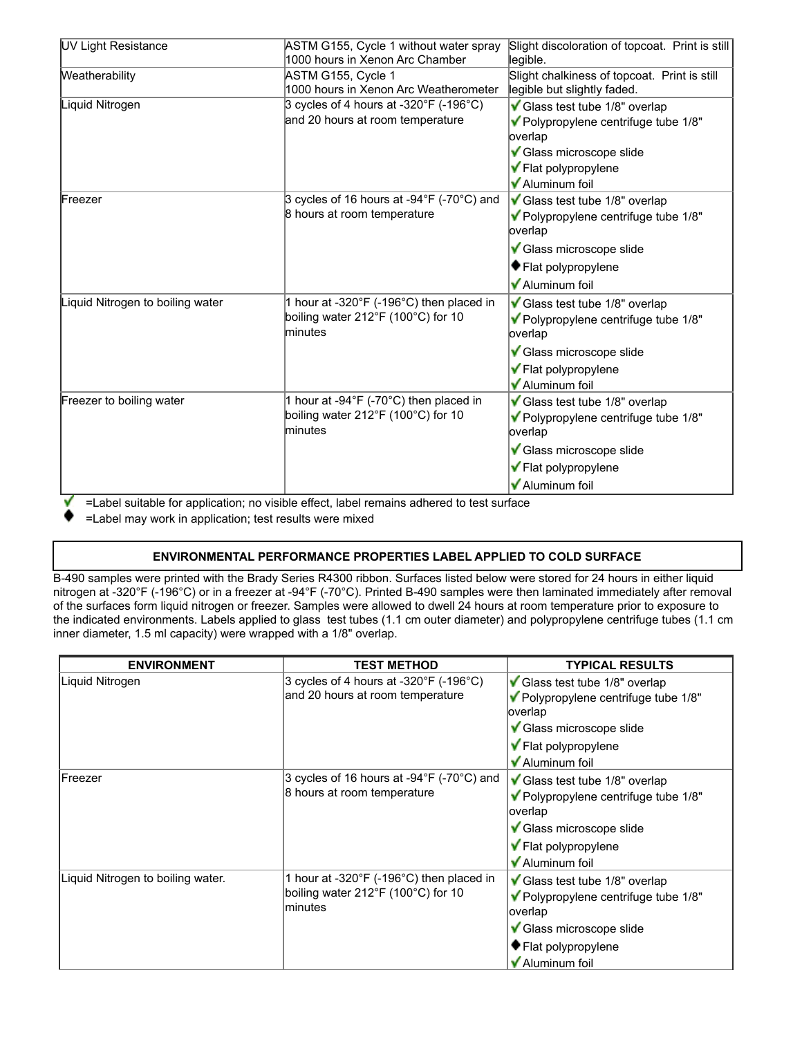| <b>UV Light Resistance</b>       | ASTM G155, Cycle 1 without water spray<br>1000 hours in Xenon Arc Chamber                                     | Slight discoloration of topcoat. Print is still<br>legible.                                                                                           |  |
|----------------------------------|---------------------------------------------------------------------------------------------------------------|-------------------------------------------------------------------------------------------------------------------------------------------------------|--|
| Weatherability                   | ASTM G155, Cycle 1<br>1000 hours in Xenon Arc Weatherometer                                                   | Slight chalkiness of topcoat. Print is still<br>legible but slightly faded.                                                                           |  |
| Liquid Nitrogen                  | 3 cycles of 4 hours at -320°F (-196°C)<br>and 20 hours at room temperature                                    | Glass test tube 1/8" overlap<br>▼ Polypropylene centrifuge tube 1/8"<br>overlap<br>Glass microscope slide<br>✔ Flat polypropylene<br>✔ Aluminum foil  |  |
| Freezer                          | 3 cycles of 16 hours at -94°F (-70°C) and<br>8 hours at room temperature                                      | Glass test tube 1/8" overlap<br>Polypropylene centrifuge tube 1/8"<br>overlap<br>Glass microscope slide<br>♦ Flat polypropylene<br>✔ Aluminum foil    |  |
| Liquid Nitrogen to boiling water | 1 hour at -320°F (-196°C) then placed in<br>boiling water $212^{\circ}F$ (100 $^{\circ}C$ ) for 10<br>minutes | Glass test tube 1/8" overlap<br>▼ Polypropylene centrifuge tube 1/8"<br>loverlap<br>Glass microscope slide<br>✔ Flat polypropylene<br>✔ Aluminum foil |  |
| Freezer to boiling water         | 1 hour at -94°F (-70°C) then placed in<br>boiling water 212°F (100°C) for 10<br>minutes                       | Glass test tube 1/8" overlap<br>Polypropylene centrifuge tube 1/8"<br>overlap<br>Glass microscope slide<br>✔ Flat polypropylene<br>✔ Aluminum foil    |  |

=Label suitable for application; no visible effect, label remains adhered to test surface

=Label may work in application; test results were mixed

# **ENVIRONMENTAL PERFORMANCE PROPERTIES LABEL APPLIED TO COLD SURFACE**

B-490 samples were printed with the Brady Series R4300 ribbon. Surfaces listed below were stored for 24 hours in either liquid nitrogen at -320°F (-196°C) or in a freezer at -94°F (-70°C). Printed B-490 samples were then laminated immediately after removal of the surfaces form liquid nitrogen or freezer. Samples were allowed to dwell 24 hours at room temperature prior to exposure to the indicated environments. Labels applied to glass test tubes (1.1 cm outer diameter) and polypropylene centrifuge tubes (1.1 cm inner diameter, 1.5 ml capacity) were wrapped with a 1/8" overlap.

| <b>ENVIRONMENT</b>                | <b>TEST METHOD</b>                                                                                            | <b>TYPICAL RESULTS</b>                                                                                                                                |  |
|-----------------------------------|---------------------------------------------------------------------------------------------------------------|-------------------------------------------------------------------------------------------------------------------------------------------------------|--|
| Liquid Nitrogen                   | 3 cycles of 4 hours at -320°F (-196°C)<br>and 20 hours at room temperature                                    | Glass test tube 1/8" overlap<br>Polypropylene centrifuge tube 1/8"<br>overlap<br>Glass microscope slide<br>✔ Flat polypropylene<br>✔ Aluminum foil    |  |
| IFreezer                          | 3 cycles of 16 hours at -94°F (-70°C) and<br>8 hours at room temperature                                      | Glass test tube 1/8" overlap<br>▼ Polypropylene centrifuge tube 1/8"<br>loverlap<br>Glass microscope slide<br>✔ Flat polypropylene<br>✔ Aluminum foil |  |
| Liquid Nitrogen to boiling water. | 1 hour at -320 $\degree$ F (-196 $\degree$ C) then placed in<br>boiling water 212°F (100°C) for 10<br>minutes | Glass test tube 1/8" overlap<br>▼ Polypropylene centrifuge tube 1/8"<br>overlap<br>Glass microscope slide<br>♦ Flat polypropylene<br>✔ Aluminum foil  |  |